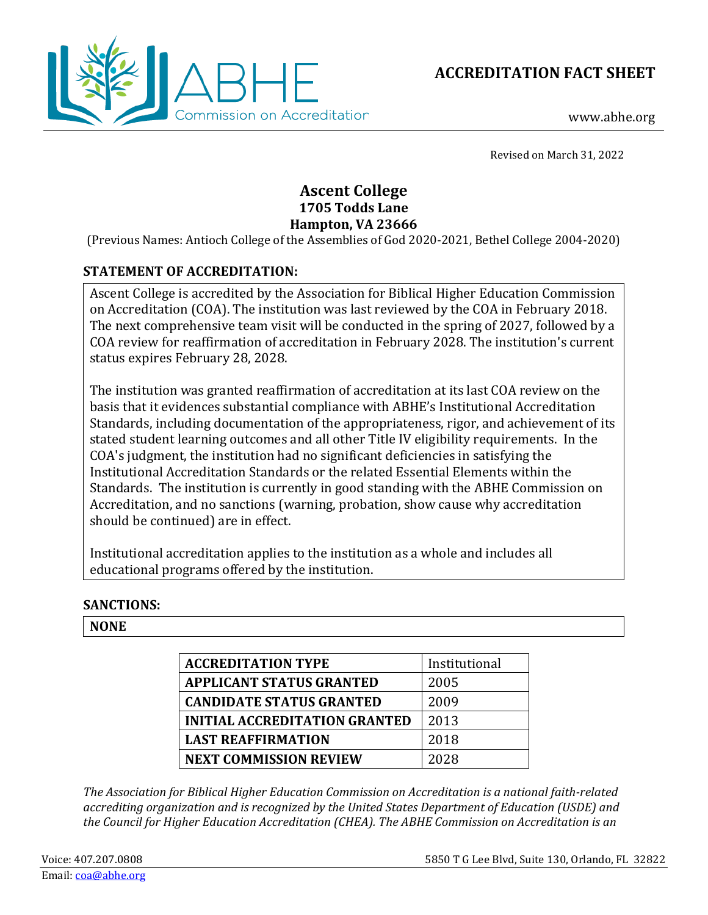



www.abhe.org

Revised on March 31, 2022

# **Ascent College 1705 Todds Lane Hampton, VA 23666**

(Previous Names: Antioch College of the Assemblies of God 2020-2021, Bethel College 2004-2020)

# **STATEMENT OF ACCREDITATION:**

Ascent College is accredited by the Association for Biblical Higher Education Commission on Accreditation (COA). The institution was last reviewed by the COA in February 2018. The next comprehensive team visit will be conducted in the spring of 2027, followed by a COA review for reaffirmation of accreditation in February 2028. The institution's current status expires February 28, 2028.

The institution was granted reaffirmation of accreditation at its last COA review on the basis that it evidences substantial compliance with ABHE's Institutional Accreditation Standards, including documentation of the appropriateness, rigor, and achievement of its stated student learning outcomes and all other Title IV eligibility requirements. In the COA's judgment, the institution had no significant deficiencies in satisfying the Institutional Accreditation Standards or the related Essential Elements within the Standards. The institution is currently in good standing with the ABHE Commission on Accreditation, and no sanctions (warning, probation, show cause why accreditation should be continued) are in effect.

Institutional accreditation applies to the institution as a whole and includes all educational programs offered by the institution.

#### **SANCTIONS:**

#### **NONE**

| <b>ACCREDITATION TYPE</b>            | Institutional |
|--------------------------------------|---------------|
| <b>APPLICANT STATUS GRANTED</b>      | 2005          |
| <b>CANDIDATE STATUS GRANTED</b>      | 2009          |
| <b>INITIAL ACCREDITATION GRANTED</b> | 2013          |
| <b>LAST REAFFIRMATION</b>            | 2018          |
| <b>NEXT COMMISSION REVIEW</b>        | 2028          |

*The Association for Biblical Higher Education Commission on Accreditation is a national faith-related accrediting organization and is recognized by the United States Department of Education (USDE) and the Council for Higher Education Accreditation (CHEA). The ABHE Commission on Accreditation is an*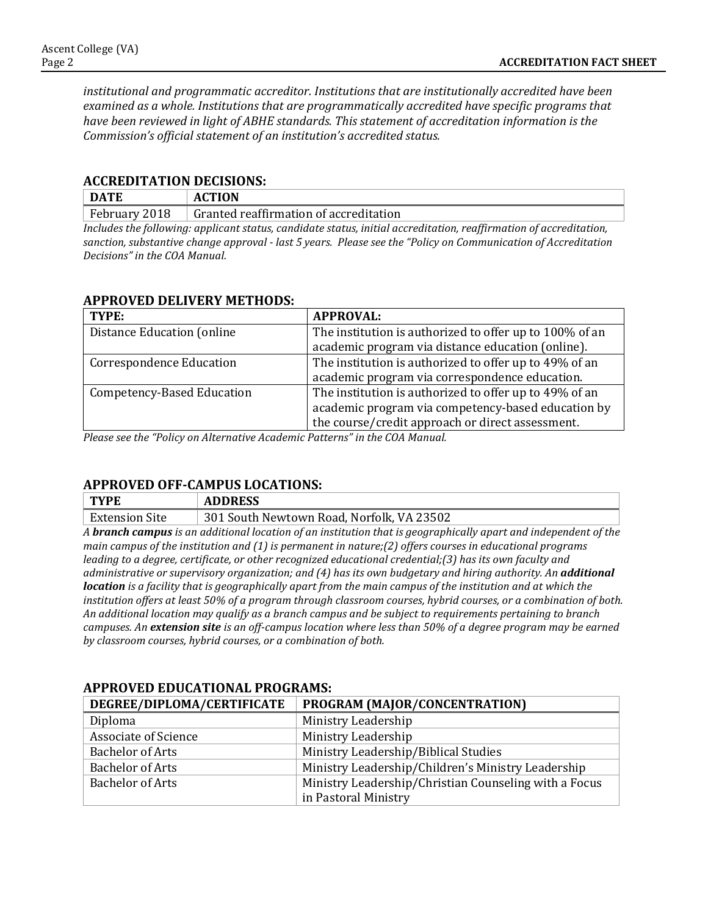*institutional and programmatic accreditor. Institutions that are institutionally accredited have been examined as a whole. Institutions that are programmatically accredited have specific programs that have been reviewed in light of ABHE standards. This statement of accreditation information is the Commission's official statement of an institution's accredited status.*

#### **ACCREDITATION DECISIONS:**

| <b>DATE</b>                                                                                                        | <b>ACTION</b>                          |  |
|--------------------------------------------------------------------------------------------------------------------|----------------------------------------|--|
| February 2018                                                                                                      | Granted reaffirmation of accreditation |  |
| Includes the following: applicant status, candidate status, initial accreditation, reaffirmation of accreditation, |                                        |  |

*sanction, substantive change approval - last 5 years. Please see the "Policy on Communication of Accreditation Decisions" in the COA Manual.*

### **APPROVED DELIVERY METHODS:**

| TYPE:                             | <b>APPROVAL:</b>                                        |
|-----------------------------------|---------------------------------------------------------|
| Distance Education (online        | The institution is authorized to offer up to 100% of an |
|                                   | academic program via distance education (online).       |
| <b>Correspondence Education</b>   | The institution is authorized to offer up to 49% of an  |
|                                   | academic program via correspondence education.          |
| <b>Competency-Based Education</b> | The institution is authorized to offer up to 49% of an  |
|                                   | academic program via competency-based education by      |
|                                   | the course/credit approach or direct assessment.        |

*Please see the "Policy on Alternative Academic Patterns" in the COA Manual.*

#### **APPROVED OFF-CAMPUS LOCATIONS:**

| <b>TYPE</b>           | <b>ADDRESS</b>                            |
|-----------------------|-------------------------------------------|
| <b>Extension Site</b> | 301 South Newtown Road, Norfolk, VA 23502 |

*A branch campus is an additional location of an institution that is geographically apart and independent of the main campus of the institution and (1) is permanent in nature;(2) offers courses in educational programs leading to a degree, certificate, or other recognized educational credential;(3) has its own faculty and administrative or supervisory organization; and (4) has its own budgetary and hiring authority. An additional location is a facility that is geographically apart from the main campus of the institution and at which the institution offers at least 50% of a program through classroom courses, hybrid courses, or a combination of both. An additional location may qualify as a branch campus and be subject to requirements pertaining to branch campuses. An extension site is an off-campus location where less than 50% of a degree program may be earned by classroom courses, hybrid courses, or a combination of both.*

| DEGREE/DIPLOMA/CERTIFICATE  | PROGRAM (MAJOR/CONCENTRATION)                         |
|-----------------------------|-------------------------------------------------------|
| Diploma                     | Ministry Leadership                                   |
| <b>Associate of Science</b> | Ministry Leadership                                   |
| <b>Bachelor of Arts</b>     | Ministry Leadership/Biblical Studies                  |
| <b>Bachelor of Arts</b>     | Ministry Leadership/Children's Ministry Leadership    |
| <b>Bachelor of Arts</b>     | Ministry Leadership/Christian Counseling with a Focus |
|                             | in Pastoral Ministry                                  |

#### **APPROVED EDUCATIONAL PROGRAMS:**